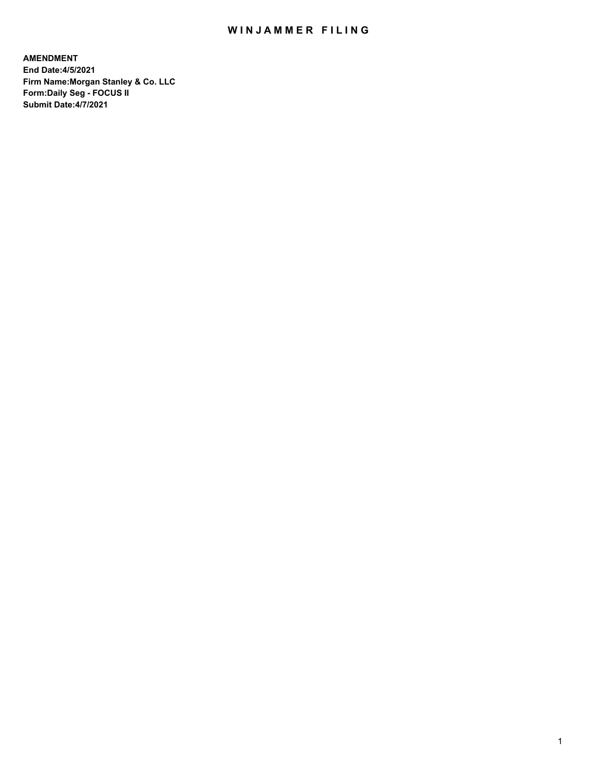## WIN JAMMER FILING

**AMENDMENT End Date:4/5/2021 Firm Name:Morgan Stanley & Co. LLC Form:Daily Seg - FOCUS II Submit Date:4/7/2021**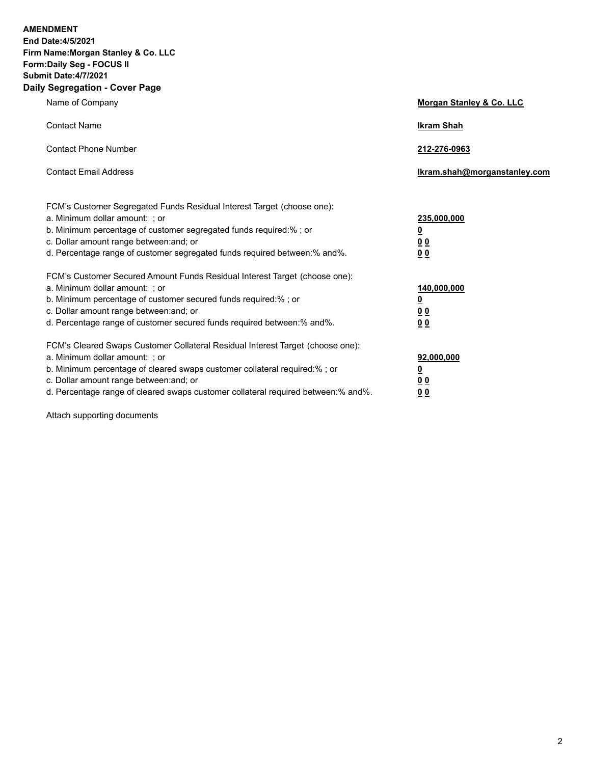**AMENDMENT** 

**End Date:4/5/2021 Firm Name:Morgan Stanley & Co. LLC Form:Daily Seg - FOCUS II Submit Date:4/7/2021 Daily Segregation - Cover Page**

| Name of Company                                                                                                                                                                                                                           | Morgan Stanley & Co. LLC                |
|-------------------------------------------------------------------------------------------------------------------------------------------------------------------------------------------------------------------------------------------|-----------------------------------------|
| <b>Contact Name</b>                                                                                                                                                                                                                       | <b>Ikram Shah</b>                       |
| <b>Contact Phone Number</b>                                                                                                                                                                                                               | 212-276-0963                            |
| <b>Contact Email Address</b>                                                                                                                                                                                                              | Ikram.shah@morganstanley.com            |
| FCM's Customer Segregated Funds Residual Interest Target (choose one):<br>a. Minimum dollar amount: ; or<br>b. Minimum percentage of customer segregated funds required:% ; or<br>c. Dollar amount range between: and; or                 | 235,000,000<br><u>0</u><br><u>00</u>    |
| d. Percentage range of customer segregated funds required between:% and%.<br>FCM's Customer Secured Amount Funds Residual Interest Target (choose one):<br>a. Minimum dollar amount: ; or                                                 | 00<br>140,000,000                       |
| b. Minimum percentage of customer secured funds required:%; or<br>c. Dollar amount range between: and; or<br>d. Percentage range of customer secured funds required between: % and %.                                                     | <u>0</u><br><u>00</u><br>0 <sup>0</sup> |
| FCM's Cleared Swaps Customer Collateral Residual Interest Target (choose one):<br>a. Minimum dollar amount: ; or<br>b. Minimum percentage of cleared swaps customer collateral required:% ; or<br>c. Dollar amount range between: and; or | 92,000,000<br><u>0</u><br><u>00</u>     |
| d. Percentage range of cleared swaps customer collateral required between:% and%.                                                                                                                                                         | 00                                      |

Attach supporting documents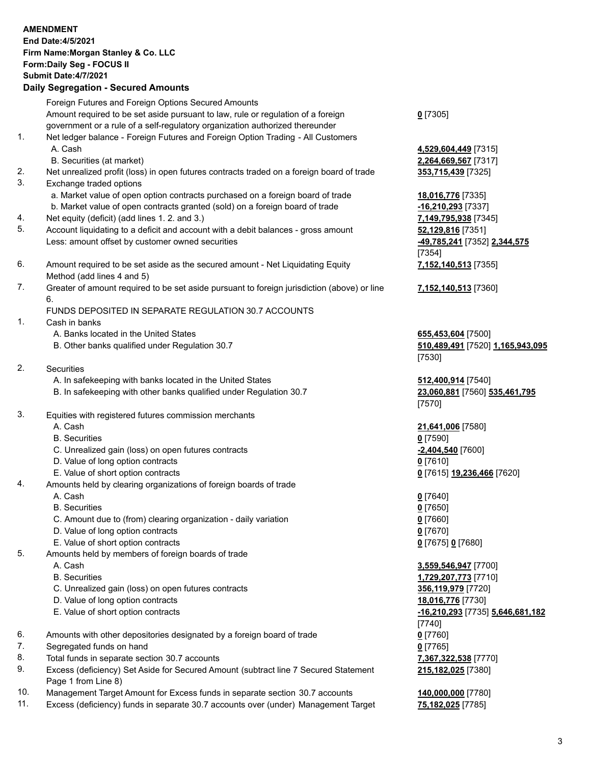|          | <b>AMENDMENT</b>                                                                                                       |                                                        |
|----------|------------------------------------------------------------------------------------------------------------------------|--------------------------------------------------------|
|          | End Date: 4/5/2021                                                                                                     |                                                        |
|          | Firm Name: Morgan Stanley & Co. LLC                                                                                    |                                                        |
|          | Form: Daily Seg - FOCUS II                                                                                             |                                                        |
|          | Submit Date: 4/7/2021                                                                                                  |                                                        |
|          | <b>Daily Segregation - Secured Amounts</b>                                                                             |                                                        |
|          | Foreign Futures and Foreign Options Secured Amounts                                                                    |                                                        |
|          | Amount required to be set aside pursuant to law, rule or regulation of a foreign                                       | $0$ [7305]                                             |
|          | government or a rule of a self-regulatory organization authorized thereunder                                           |                                                        |
| 1.       | Net ledger balance - Foreign Futures and Foreign Option Trading - All Customers                                        |                                                        |
|          | A. Cash                                                                                                                | 4,529,604,449 [7315]                                   |
| 2.       | B. Securities (at market)<br>Net unrealized profit (loss) in open futures contracts traded on a foreign board of trade | 2,264,669,567 [7317]<br>353,715,439 [7325]             |
| 3.       | Exchange traded options                                                                                                |                                                        |
|          | a. Market value of open option contracts purchased on a foreign board of trade                                         | 18,016,776 [7335]                                      |
|          | b. Market value of open contracts granted (sold) on a foreign board of trade                                           | -16,210,293 [7337]                                     |
| 4.       | Net equity (deficit) (add lines 1.2. and 3.)                                                                           | 7,149,795,938 [7345]                                   |
| 5.       | Account liquidating to a deficit and account with a debit balances - gross amount                                      | 52,129,816 [7351]                                      |
|          | Less: amount offset by customer owned securities                                                                       | -49,785,241 [7352] 2,344,575                           |
|          |                                                                                                                        | [7354]                                                 |
| 6.       | Amount required to be set aside as the secured amount - Net Liquidating Equity                                         | 7,152,140,513 [7355]                                   |
|          | Method (add lines 4 and 5)                                                                                             |                                                        |
| 7.       | Greater of amount required to be set aside pursuant to foreign jurisdiction (above) or line                            | 7,152,140,513 [7360]                                   |
|          | 6.                                                                                                                     |                                                        |
|          | FUNDS DEPOSITED IN SEPARATE REGULATION 30.7 ACCOUNTS                                                                   |                                                        |
| 1.       | Cash in banks<br>A. Banks located in the United States                                                                 |                                                        |
|          | B. Other banks qualified under Regulation 30.7                                                                         | 655,453,604 [7500]<br>510,489,491 [7520] 1,165,943,095 |
|          |                                                                                                                        | [7530]                                                 |
| 2.       | Securities                                                                                                             |                                                        |
|          | A. In safekeeping with banks located in the United States                                                              | 512,400,914 [7540]                                     |
|          | B. In safekeeping with other banks qualified under Regulation 30.7                                                     | 23,060,881 [7560] 535,461,795                          |
|          |                                                                                                                        | [7570]                                                 |
| 3.       | Equities with registered futures commission merchants                                                                  |                                                        |
|          | A. Cash                                                                                                                | 21,641,006 [7580]                                      |
|          | <b>B.</b> Securities                                                                                                   | $0$ [7590]                                             |
|          | C. Unrealized gain (loss) on open futures contracts                                                                    | $-2,404,540$ [7600]                                    |
|          | D. Value of long option contracts                                                                                      | $0$ [7610]                                             |
|          | E. Value of short option contracts                                                                                     | 0 [7615] 19,236,466 [7620]                             |
| 4.       | Amounts held by clearing organizations of foreign boards of trade<br>A. Cash                                           |                                                        |
|          | <b>B.</b> Securities                                                                                                   | $0$ [7640]<br>$0$ [7650]                               |
|          | C. Amount due to (from) clearing organization - daily variation                                                        | $0$ [7660]                                             |
|          | D. Value of long option contracts                                                                                      | $0$ [7670]                                             |
|          | E. Value of short option contracts                                                                                     | 0 [7675] 0 [7680]                                      |
| 5.       | Amounts held by members of foreign boards of trade                                                                     |                                                        |
|          | A. Cash                                                                                                                | 3,559,546,947 [7700]                                   |
|          | <b>B.</b> Securities                                                                                                   | 1,729,207,773 [7710]                                   |
|          | C. Unrealized gain (loss) on open futures contracts                                                                    | 356,119,979 [7720]                                     |
|          | D. Value of long option contracts                                                                                      | 18,016,776 [7730]                                      |
|          | E. Value of short option contracts                                                                                     | -16,210,293 [7735] 5,646,681,182                       |
|          |                                                                                                                        | [7740]                                                 |
| 6.       | Amounts with other depositories designated by a foreign board of trade                                                 | $0$ [7760]                                             |
| 7.       | Segregated funds on hand                                                                                               | $0$ [7765]                                             |
| 8.<br>9. | Total funds in separate section 30.7 accounts                                                                          | 7,367,322,538 [7770]                                   |
|          | Excess (deficiency) Set Aside for Secured Amount (subtract line 7 Secured Statement<br>Page 1 from Line 8)             | 215,182,025 [7380]                                     |
| 10.      | Management Target Amount for Excess funds in separate section 30.7 accounts                                            | 140,000,000 [7780]                                     |
|          |                                                                                                                        |                                                        |

11. Excess (deficiency) funds in separate 30.7 accounts over (under) Management Target **75,182,025** [7785]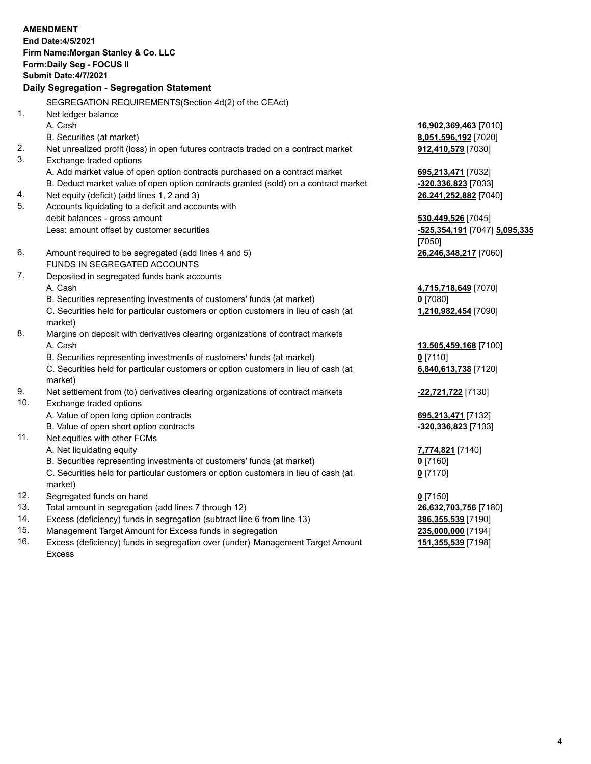|     | <b>AMENDMENT</b><br>End Date: 4/5/2021<br>Firm Name: Morgan Stanley & Co. LLC<br>Form: Daily Seg - FOCUS II<br><b>Submit Date: 4/7/2021</b> |                               |
|-----|---------------------------------------------------------------------------------------------------------------------------------------------|-------------------------------|
|     | Daily Segregation - Segregation Statement                                                                                                   |                               |
|     | SEGREGATION REQUIREMENTS(Section 4d(2) of the CEAct)                                                                                        |                               |
| 1.  | Net ledger balance                                                                                                                          |                               |
|     | A. Cash                                                                                                                                     | 16,902,369,463 [7010]         |
|     | B. Securities (at market)                                                                                                                   | 8,051,596,192 [7020]          |
| 2.  | Net unrealized profit (loss) in open futures contracts traded on a contract market                                                          | 912,410,579 [7030]            |
| 3.  | Exchange traded options                                                                                                                     |                               |
|     | A. Add market value of open option contracts purchased on a contract market                                                                 | 695,213,471 [7032]            |
|     | B. Deduct market value of open option contracts granted (sold) on a contract market                                                         | -320,336,823 [7033]           |
| 4.  | Net equity (deficit) (add lines 1, 2 and 3)                                                                                                 | 26,241,252,882 [7040]         |
| 5.  | Accounts liquidating to a deficit and accounts with                                                                                         |                               |
|     | debit balances - gross amount                                                                                                               | 530,449,526 [7045]            |
|     | Less: amount offset by customer securities                                                                                                  | -525,354,191 [7047] 5,095,335 |
| 6.  |                                                                                                                                             | [7050]                        |
|     | Amount required to be segregated (add lines 4 and 5)<br>FUNDS IN SEGREGATED ACCOUNTS                                                        | 26,246,348,217 [7060]         |
| 7.  | Deposited in segregated funds bank accounts                                                                                                 |                               |
|     | A. Cash                                                                                                                                     | 4,715,718,649 [7070]          |
|     | B. Securities representing investments of customers' funds (at market)                                                                      | $0$ [7080]                    |
|     | C. Securities held for particular customers or option customers in lieu of cash (at                                                         | 1,210,982,454 [7090]          |
|     | market)                                                                                                                                     |                               |
| 8.  | Margins on deposit with derivatives clearing organizations of contract markets                                                              |                               |
|     | A. Cash                                                                                                                                     | 13,505,459,168 [7100]         |
|     | B. Securities representing investments of customers' funds (at market)                                                                      | $0$ [7110]                    |
|     | C. Securities held for particular customers or option customers in lieu of cash (at                                                         | 6,840,613,738 [7120]          |
|     | market)                                                                                                                                     |                               |
| 9.  | Net settlement from (to) derivatives clearing organizations of contract markets                                                             | -22,721,722 [7130]            |
| 10. | Exchange traded options                                                                                                                     |                               |
|     | A. Value of open long option contracts                                                                                                      | 695,213,471 [7132]            |
|     | B. Value of open short option contracts                                                                                                     | -320,336,823 [7133]           |
| 11. | Net equities with other FCMs                                                                                                                |                               |
|     | A. Net liquidating equity                                                                                                                   | 7,774,821 <sup>[7140]</sup>   |
|     | B. Securities representing investments of customers' funds (at market)                                                                      | $0$ [7160]                    |
|     | C. Securities held for particular customers or option customers in lieu of cash (at<br>market)                                              | $0$ [7170]                    |
| 12. | Segregated funds on hand                                                                                                                    | $0$ [7150]                    |
| 13. | Total amount in segregation (add lines 7 through 12)                                                                                        | 26,632,703,756 [7180]         |
| 14. | Excess (deficiency) funds in segregation (subtract line 6 from line 13)                                                                     | 386,355,539 [7190]            |
| 1 E | proposant Tengrat American few Excessor frontly in example                                                                                  |                               |

15. Management Target Amount for Excess funds in segregation<br>16. Excess (deficiency) funds in segregation over (under) Manag Excess (deficiency) funds in segregation over (under) Management Target Amount Excess

**151,355,539** [7198]